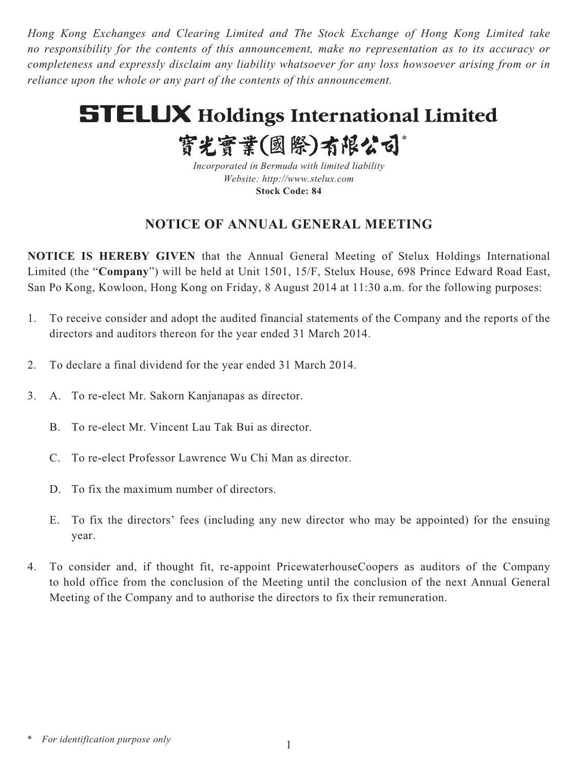*Hong Kong Exchanges and Clearing Limited and The Stock Exchange of Hong Kong Limited take no responsibility for the contents of this announcement, make no representation as to its accuracy or completeness and expressly disclaim any liability whatsoever for any loss howsoever arising from or in reliance upon the whole or any part of the contents of this announcement.*

# **STELUX Holdings International Limited**

實光實業(國際)有限公司\* *Incorporated in Bermuda with limited liability Website[: http://www.stelux.com](http://www.stelux.com)*

**Stock Code: 84**

## **NOTICE OF ANNUAL GENERAL MEETING**

**NOTICE IS HEREBY GIVEN** that the Annual General Meeting of Stelux Holdings International Limited (the "**Company**") will be held at Unit 1501, 15/F, Stelux House, 698 Prince Edward Road East, San Po Kong, Kowloon, Hong Kong on Friday, 8 August 2014 at 11:30 a.m. for the following purposes:

- 1. To receive consider and adopt the audited financial statements of the Company and the reports of the directors and auditors thereon for the year ended 31 March 2014.
- 2. To declare a final dividend for the year ended 31 March 2014.
- 3. A. To re-elect Mr. Sakorn Kanjanapas as director.
	- B. To re-elect Mr. Vincent Lau Tak Bui as director.
	- C. To re-elect Professor Lawrence Wu Chi Man as director.
	- D. To fix the maximum number of directors.
	- E. To fix the directors' fees (including any new director who may be appointed) for the ensuing year.
- 4. To consider and, if thought fit, re-appoint PricewaterhouseCoopers as auditors of the Company to hold office from the conclusion of the Meeting until the conclusion of the next Annual General Meeting of the Company and to authorise the directors to fix their remuneration.

*<sup>\*</sup> For identification purpose only*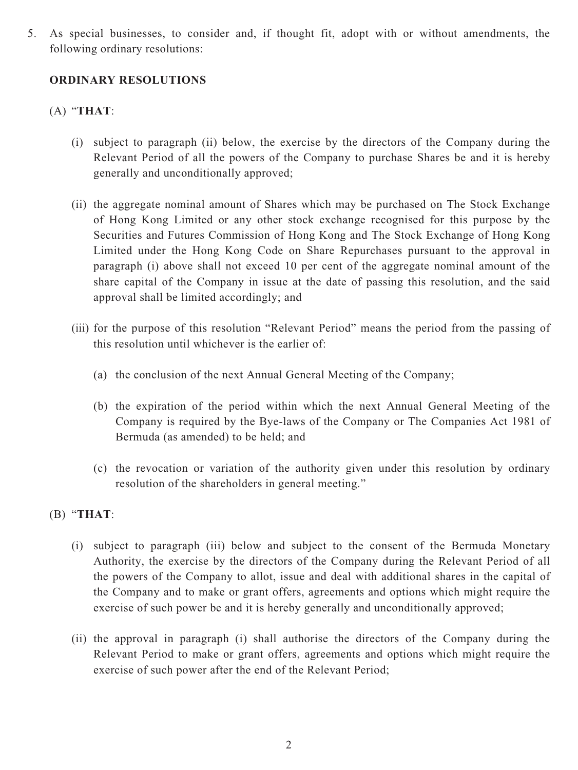5. As special businesses, to consider and, if thought fit, adopt with or without amendments, the following ordinary resolutions:

### **ORDINARY RESOLUTIONS**

## (A) "**THAT**:

- (i) subject to paragraph (ii) below, the exercise by the directors of the Company during the Relevant Period of all the powers of the Company to purchase Shares be and it is hereby generally and unconditionally approved;
- (ii) the aggregate nominal amount of Shares which may be purchased on The Stock Exchange of Hong Kong Limited or any other stock exchange recognised for this purpose by the Securities and Futures Commission of Hong Kong and The Stock Exchange of Hong Kong Limited under the Hong Kong Code on Share Repurchases pursuant to the approval in paragraph (i) above shall not exceed 10 per cent of the aggregate nominal amount of the share capital of the Company in issue at the date of passing this resolution, and the said approval shall be limited accordingly; and
- (iii) for the purpose of this resolution "Relevant Period" means the period from the passing of this resolution until whichever is the earlier of:
	- (a) the conclusion of the next Annual General Meeting of the Company;
	- (b) the expiration of the period within which the next Annual General Meeting of the Company is required by the Bye-laws of the Company or The Companies Act 1981 of Bermuda (as amended) to be held; and
	- (c) the revocation or variation of the authority given under this resolution by ordinary resolution of the shareholders in general meeting."

#### (B) "**THAT**:

- (i) subject to paragraph (iii) below and subject to the consent of the Bermuda Monetary Authority, the exercise by the directors of the Company during the Relevant Period of all the powers of the Company to allot, issue and deal with additional shares in the capital of the Company and to make or grant offers, agreements and options which might require the exercise of such power be and it is hereby generally and unconditionally approved;
- (ii) the approval in paragraph (i) shall authorise the directors of the Company during the Relevant Period to make or grant offers, agreements and options which might require the exercise of such power after the end of the Relevant Period;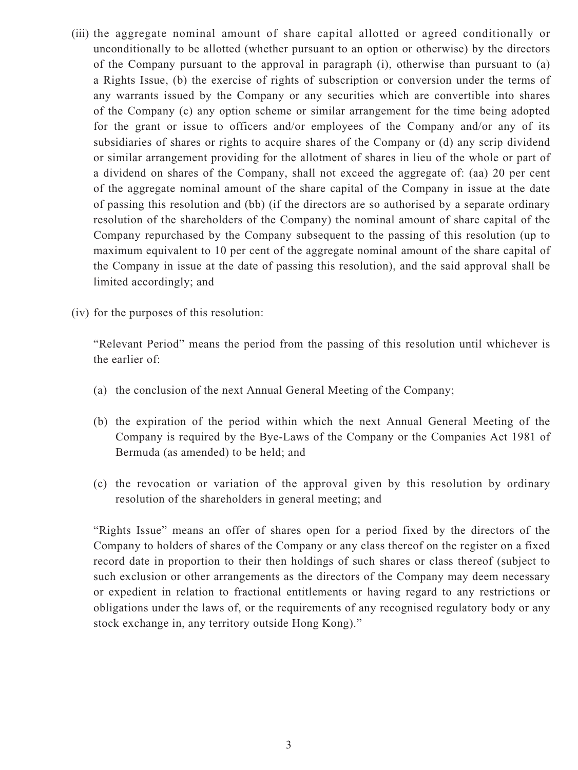- (iii) the aggregate nominal amount of share capital allotted or agreed conditionally or unconditionally to be allotted (whether pursuant to an option or otherwise) by the directors of the Company pursuant to the approval in paragraph (i), otherwise than pursuant to (a) a Rights Issue, (b) the exercise of rights of subscription or conversion under the terms of any warrants issued by the Company or any securities which are convertible into shares of the Company (c) any option scheme or similar arrangement for the time being adopted for the grant or issue to officers and/or employees of the Company and/or any of its subsidiaries of shares or rights to acquire shares of the Company or (d) any scrip dividend or similar arrangement providing for the allotment of shares in lieu of the whole or part of a dividend on shares of the Company, shall not exceed the aggregate of: (aa) 20 per cent of the aggregate nominal amount of the share capital of the Company in issue at the date of passing this resolution and (bb) (if the directors are so authorised by a separate ordinary resolution of the shareholders of the Company) the nominal amount of share capital of the Company repurchased by the Company subsequent to the passing of this resolution (up to maximum equivalent to 10 per cent of the aggregate nominal amount of the share capital of the Company in issue at the date of passing this resolution), and the said approval shall be limited accordingly; and
- (iv) for the purposes of this resolution:

"Relevant Period" means the period from the passing of this resolution until whichever is the earlier of:

- (a) the conclusion of the next Annual General Meeting of the Company;
- (b) the expiration of the period within which the next Annual General Meeting of the Company is required by the Bye-Laws of the Company or the Companies Act 1981 of Bermuda (as amended) to be held; and
- (c) the revocation or variation of the approval given by this resolution by ordinary resolution of the shareholders in general meeting; and

"Rights Issue" means an offer of shares open for a period fixed by the directors of the Company to holders of shares of the Company or any class thereof on the register on a fixed record date in proportion to their then holdings of such shares or class thereof (subject to such exclusion or other arrangements as the directors of the Company may deem necessary or expedient in relation to fractional entitlements or having regard to any restrictions or obligations under the laws of, or the requirements of any recognised regulatory body or any stock exchange in, any territory outside Hong Kong)."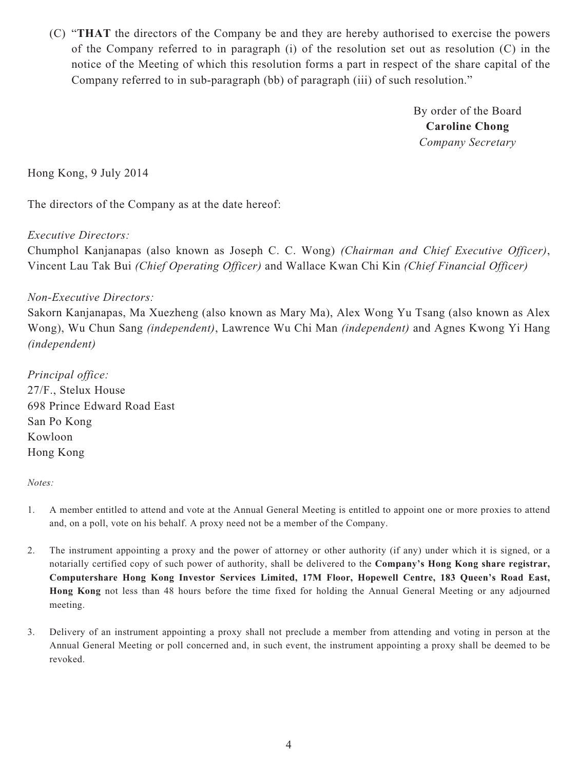(C) "**THAT** the directors of the Company be and they are hereby authorised to exercise the powers of the Company referred to in paragraph (i) of the resolution set out as resolution (C) in the notice of the Meeting of which this resolution forms a part in respect of the share capital of the Company referred to in sub-paragraph (bb) of paragraph (iii) of such resolution."

> By order of the Board **Caroline Chong** *Company Secretary*

Hong Kong, 9 July 2014

The directors of the Company as at the date hereof:

#### *Executive Directors:*

Chumphol Kanjanapas (also known as Joseph C. C. Wong) *(Chairman and Chief Executive Officer)*, Vincent Lau Tak Bui *(Chief Operating Officer)* and Wallace Kwan Chi Kin *(Chief Financial Officer)* 

#### *Non-Executive Directors:*

Sakorn Kanjanapas, Ma Xuezheng (also known as Mary Ma), Alex Wong Yu Tsang (also known as Alex Wong), Wu Chun Sang *(independent)*, Lawrence Wu Chi Man *(independent)* and Agnes Kwong Yi Hang *(independent)* 

*Principal office:* 27/F., Stelux House 698 Prince Edward Road East San Po Kong Kowloon Hong Kong

#### *Notes:*

- 1. A member entitled to attend and vote at the Annual General Meeting is entitled to appoint one or more proxies to attend and, on a poll, vote on his behalf. A proxy need not be a member of the Company.
- 2. The instrument appointing a proxy and the power of attorney or other authority (if any) under which it is signed, or a notarially certified copy of such power of authority, shall be delivered to the **Company's Hong Kong share registrar, Computershare Hong Kong Investor Services Limited, 17M Floor, Hopewell Centre, 183 Queen's Road East, Hong Kong** not less than 48 hours before the time fixed for holding the Annual General Meeting or any adjourned meeting.
- 3. Delivery of an instrument appointing a proxy shall not preclude a member from attending and voting in person at the Annual General Meeting or poll concerned and, in such event, the instrument appointing a proxy shall be deemed to be revoked.